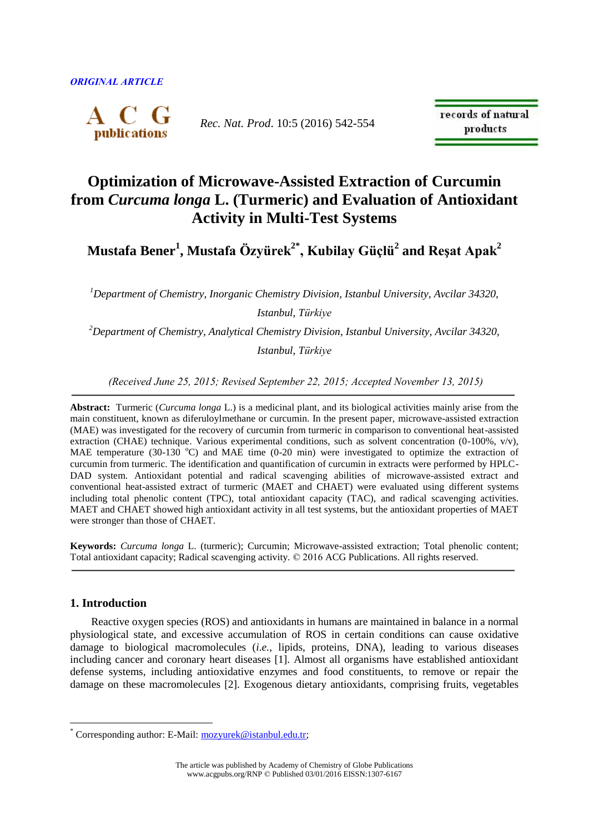

*Rec. Nat. Prod*. 10:5 (2016) 542-554

records of natural products

# **Optimization of Microwave-Assisted Extraction of Curcumin from** *Curcuma longa* **L. (Turmeric) and Evaluation of Antioxidant Activity in Multi-Test Systems**

**Mustafa Bener<sup>1</sup> , Mustafa Özyürek2\* , Kubilay Güçlü<sup>2</sup> and Reşat Apak<sup>2</sup>**

*<sup>1</sup>Department of Chemistry, Inorganic Chemistry Division, Istanbul University, Avcilar 34320, Istanbul, Türkiye*

*<sup>2</sup>Department of Chemistry, Analytical Chemistry Division, Istanbul University, Avcilar 34320, Istanbul, Türkiye*

*(Received June 25, 2015; Revised September 22, 2015; Accepted November 13, 2015)*

**Abstract:** Turmeric (*Curcuma longa* L.) is a medicinal plant, and its biological activities mainly arise from the main constituent, known as diferuloylmethane or curcumin. In the present paper, microwave-assisted extraction (MAE) was investigated for the recovery of curcumin from turmeric in comparison to conventional heat-assisted extraction (CHAE) technique. Various experimental conditions, such as solvent concentration (0-100%,  $v/v$ ), MAE temperature (30-130  $^{\circ}$ C) and MAE time (0-20 min) were investigated to optimize the extraction of curcumin from turmeric. The identification and quantification of curcumin in extracts were performed by HPLC-DAD system. Antioxidant potential and radical scavenging abilities of microwave-assisted extract and conventional heat-assisted extract of turmeric (MAET and CHAET) were evaluated using different systems including total phenolic content (TPC), total antioxidant capacity (TAC), and radical scavenging activities. MAET and CHAET showed high antioxidant activity in all test systems, but the antioxidant properties of MAET were stronger than those of CHAET.

**Keywords:** *Curcuma longa* L. (turmeric); Curcumin; Microwave-assisted extraction; Total phenolic content; Total antioxidant capacity; Radical scavenging activity. © 2016 ACG Publications. All rights reserved.

## **1. Introduction**

 $\overline{a}$ 

Reactive oxygen species (ROS) and antioxidants in humans are maintained in balance in a normal physiological state, and excessive accumulation of ROS in certain conditions can cause oxidative damage to biological macromolecules (*i.e.*, lipids, proteins, DNA), leading to various diseases including cancer and coronary heart diseases [1]. Almost all organisms have established antioxidant defense systems, including antioxidative enzymes and food constituents, to remove or repair the damage on these macromolecules [2]. Exogenous dietary antioxidants, comprising fruits, vegetables

<sup>\*</sup> Corresponding author: E-Mail: [mozyurek@istanbul.edu.tr;](mailto:mozyurek@istanbul.edu.tr)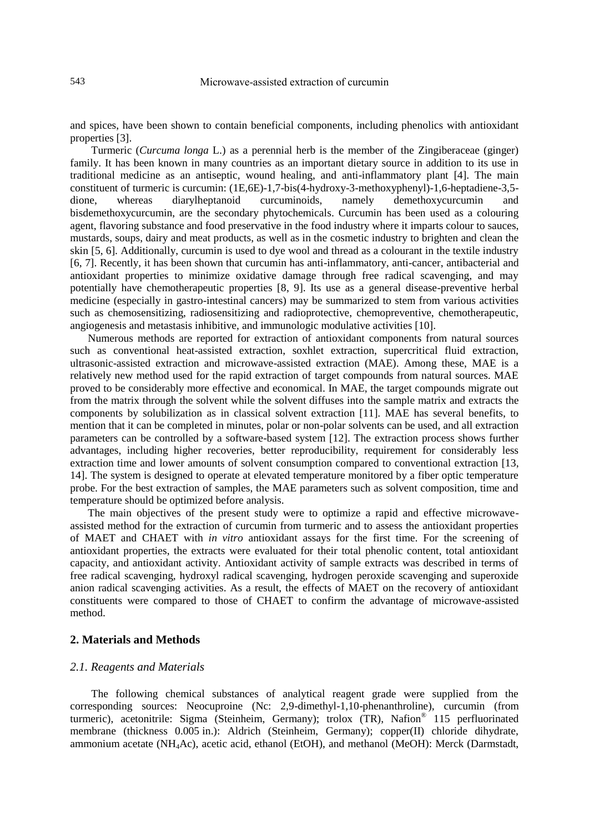and spices, have been shown to contain beneficial components, including phenolics with antioxidant properties [3].

Turmeric (*Curcuma longa* L.) as a perennial herb is the member of the Zingiberaceae (ginger) family. It has been known in many countries as an important dietary source in addition to its use in traditional medicine as an antiseptic, wound healing, and anti-inflammatory plant [4]. The main constituent of turmeric is curcumin: (1E,6E)-1,7-bis(4-hydroxy-3-methoxyphenyl)-1,6-heptadiene-3,5 dione, whereas diarylheptanoid curcuminoids, namely demethoxycurcumin and bisdemethoxycurcumin, are the secondary phytochemicals. Curcumin has been used as a colouring agent, flavoring substance and food preservative in the food industry where it imparts colour to sauces, mustards, soups, dairy and meat products, as well as in the cosmetic industry to brighten and clean the skin [5, 6]. Additionally, curcumin is used to dye wool and thread as a colourant in the textile industry [6, 7]. Recently, it has been shown that curcumin has anti-inflammatory, anti-cancer, antibacterial and antioxidant properties to minimize oxidative damage through free radical scavenging, and may potentially have chemotherapeutic properties [8, 9]. Its use as a general disease-preventive herbal medicine (especially in gastro-intestinal cancers) may be summarized to stem from various activities such as chemosensitizing, radiosensitizing and radioprotective, chemopreventive, chemotherapeutic, angiogenesis and metastasis inhibitive, and immunologic modulative activities [10].

Numerous methods are reported for extraction of antioxidant components from natural sources such as conventional heat-assisted extraction, soxhlet extraction, supercritical fluid extraction, ultrasonic-assisted extraction and microwave-assisted extraction (MAE). Among these, MAE is a relatively new method used for the rapid extraction of target compounds from natural sources. MAE proved to be considerably more effective and economical. In MAE, the target compounds migrate out from the matrix through the solvent while the solvent diffuses into the sample matrix and extracts the components by solubilization as in classical solvent extraction [11]. MAE has several benefits, to mention that it can be completed in minutes, polar or non-polar solvents can be used, and all extraction parameters can be controlled by a software-based system [12]. The extraction process shows further advantages, including higher recoveries, better reproducibility, requirement for considerably less extraction time and lower amounts of solvent consumption compared to conventional extraction [13, 14]. The system is designed to operate at elevated temperature monitored by a fiber optic temperature probe. For the best extraction of samples, the MAE parameters such as solvent composition, time and temperature should be optimized before analysis.

The main objectives of the present study were to optimize a rapid and effective microwaveassisted method for the extraction of curcumin from turmeric and to assess the antioxidant properties of MAET and CHAET with *in vitro* antioxidant assays for the first time. For the screening of antioxidant properties, the extracts were evaluated for their total phenolic content, total antioxidant capacity, and antioxidant activity. Antioxidant activity of sample extracts was described in terms of free radical scavenging, hydroxyl radical scavenging, hydrogen peroxide scavenging and superoxide anion radical scavenging activities. As a result, the effects of MAET on the recovery of antioxidant constituents were compared to those of CHAET to confirm the advantage of microwave-assisted method.

## **2. Materials and Methods**

#### *2.1. Reagents and Materials*

The following chemical substances of analytical reagent grade were supplied from the corresponding sources: Neocuproine (Nc: 2,9-dimethyl-1,10-phenanthroline), curcumin (from turmeric), acetonitrile: Sigma (Steinheim, Germany); trolox (TR), Nafion® 115 perfluorinated membrane (thickness 0.005 in.): Aldrich (Steinheim, Germany); copper(II) chloride dihydrate, ammonium acetate (NH4Ac), acetic acid, ethanol (EtOH), and methanol (MeOH): Merck (Darmstadt,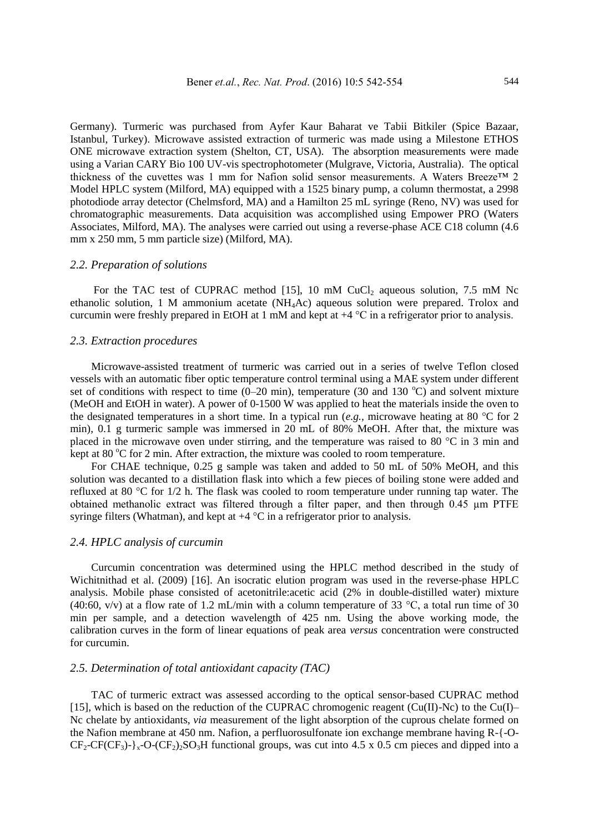Germany). Turmeric was purchased from Ayfer Kaur Baharat ve Tabii Bitkiler (Spice Bazaar, Istanbul, Turkey). Microwave assisted extraction of turmeric was made using a Milestone ETHOS ONE microwave extraction system (Shelton, CT, USA). The absorption measurements were made using a Varian CARY Bio 100 UV-vis spectrophotometer (Mulgrave, Victoria, Australia). The optical thickness of the cuvettes was 1 mm for Nafion solid sensor measurements. A Waters Breeze™ 2 Model HPLC system (Milford, MA) equipped with a 1525 binary pump, a column thermostat, a 2998 photodiode array detector (Chelmsford, MA) and a Hamilton 25 mL syringe (Reno, NV) was used for chromatographic measurements. Data acquisition was accomplished using Empower PRO (Waters Associates, Milford, MA). The analyses were carried out using a reverse-phase ACE C18 column (4.6 mm x 250 mm, 5 mm particle size) (Milford, MA).

## *2.2. Preparation of solutions*

For the TAC test of CUPRAC method  $[15]$ , 10 mM CuCl<sub>2</sub> aqueous solution, 7.5 mM Nc ethanolic solution, 1 M ammonium acetate (NH4Ac) aqueous solution were prepared. Trolox and curcumin were freshly prepared in EtOH at 1 mM and kept at +4 °C in a refrigerator prior to analysis.

#### *2.3. Extraction procedures*

Microwave-assisted treatment of turmeric was carried out in a series of twelve Teflon closed vessels with an automatic fiber optic temperature control terminal using a MAE system under different set of conditions with respect to time  $(0-20 \text{ min})$ , temperature (30 and 130 °C) and solvent mixture (MeOH and EtOH in water). A power of 0-1500 W was applied to heat the materials inside the oven to the designated temperatures in a short time. In a typical run (*e.g.,* microwave heating at 80 °C for 2 min), 0.1 g turmeric sample was immersed in 20 mL of 80% MeOH. After that, the mixture was placed in the microwave oven under stirring, and the temperature was raised to 80 °C in 3 min and kept at  $80^{\circ}$ C for 2 min. After extraction, the mixture was cooled to room temperature.

For CHAE technique*,* 0.25 g sample was taken and added to 50 mL of 50% MeOH, and this solution was decanted to a distillation flask into which a few pieces of boiling stone were added and refluxed at 80 °C for 1/2 h. The flask was cooled to room temperature under running tap water. The obtained methanolic extract was filtered through a filter paper, and then through 0.45 µm PTFE syringe filters (Whatman), and kept at  $+4$  °C in a refrigerator prior to analysis.

#### *2.4. HPLC analysis of curcumin*

Curcumin concentration was determined using the HPLC method described in the study of Wichitnithad et al. (2009) [16]. An isocratic elution program was used in the reverse-phase HPLC analysis. Mobile phase consisted of acetonitrile:acetic acid (2% in double-distilled water) mixture (40:60, v/v) at a flow rate of 1.2 mL/min with a column temperature of 33  $\degree$ C, a total run time of 30 min per sample, and a detection wavelength of 425 nm. Using the above working mode, the calibration curves in the form of linear equations of peak area *versus* concentration were constructed for curcumin.

# *2.5. Determination of total antioxidant capacity (TAC)*

TAC of turmeric extract was assessed according to the optical sensor-based CUPRAC method [15], which is based on the reduction of the CUPRAC chromogenic reagent (Cu(II)-Nc) to the Cu(I)– Nc chelate by antioxidants, *via* measurement of the light absorption of the cuprous chelate formed on the Nafion membrane at 450 nm. Nafion, a perfluorosulfonate ion exchange membrane having R-{-O- $CF_2-CF(CF_3)-\{x-O-(CF_2)\}\text{SO}_3H$  functional groups, was cut into 4.5 x 0.5 cm pieces and dipped into a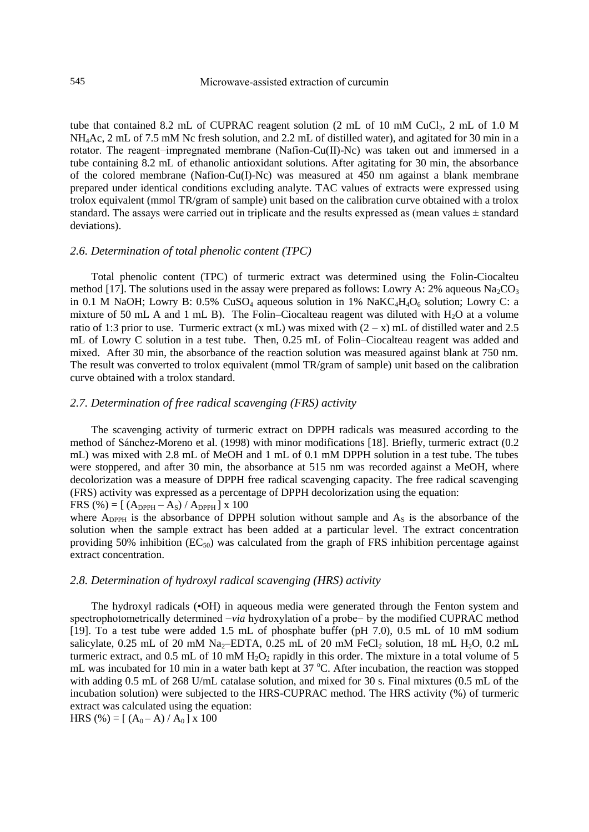## 545 Microwave-assisted extraction of curcumin

tube that contained 8.2 mL of CUPRAC reagent solution  $(2 \text{ mL of } 10 \text{ mM CuCl}_2, 2 \text{ mL of } 1.0 \text{ M})$ NH4Ac, 2 mL of 7.5 mM Nc fresh solution, and 2.2 mL of distilled water), and agitated for 30 min in a rotator. The reagent−impregnated membrane (Nafion-Cu(II)-Nc) was taken out and immersed in a tube containing 8.2 mL of ethanolic antioxidant solutions. After agitating for 30 min, the absorbance of the colored membrane (Nafion-Cu(I)-Nc) was measured at 450 nm against a blank membrane prepared under identical conditions excluding analyte. TAC values of extracts were expressed using trolox equivalent (mmol TR/gram of sample) unit based on the calibration curve obtained with a trolox standard. The assays were carried out in triplicate and the results expressed as (mean values  $\pm$  standard deviations).

## *2.6. Determination of total phenolic content (TPC)*

Total phenolic content (TPC) of turmeric extract was determined using the Folin-Ciocalteu method [17]. The solutions used in the assay were prepared as follows: Lowry A: 2% aqueous Na<sub>2</sub>CO<sub>3</sub> in 0.1 M NaOH; Lowry B: 0.5% CuSO<sub>4</sub> aqueous solution in 1% NaKC<sub>4</sub>H<sub>4</sub>O<sub>6</sub> solution; Lowry C: a mixture of 50 mL A and 1 mL B). The Folin–Ciocalteau reagent was diluted with  $H_2O$  at a volume ratio of 1:3 prior to use. Turmeric extract (x mL) was mixed with  $(2 - x)$  mL of distilled water and 2.5 mL of Lowry C solution in a test tube. Then, 0.25 mL of Folin–Ciocalteau reagent was added and mixed. After 30 min, the absorbance of the reaction solution was measured against blank at 750 nm. The result was converted to trolox equivalent (mmol TR/gram of sample) unit based on the calibration curve obtained with a trolox standard.

#### *2.7. Determination of free radical scavenging (FRS) activity*

The scavenging activity of turmeric extract on DPPH radicals was measured according to the method of Sánchez-Moreno et al. (1998) with minor modifications [18]. Briefly, turmeric extract (0.2 mL) was mixed with 2.8 mL of MeOH and 1 mL of 0.1 mM DPPH solution in a test tube. The tubes were stoppered, and after 30 min, the absorbance at 515 nm was recorded against a MeOH, where decolorization was a measure of DPPH free radical scavenging capacity. The free radical scavenging (FRS) activity was expressed as a percentage of DPPH decolorization using the equation: FRS (%) =  $[(A_{DPPH} - A_S) / A_{DPPH}] x 100$ 

where  $A_{\text{DPPH}}$  is the absorbance of DPPH solution without sample and  $A_{\text{S}}$  is the absorbance of the solution when the sample extract has been added at a particular level. The extract concentration providing 50% inhibition ( $EC_{50}$ ) was calculated from the graph of FRS inhibition percentage against extract concentration.

## *2.8. Determination of hydroxyl radical scavenging (HRS) activity*

The hydroxyl radicals (•OH) in aqueous media were generated through the Fenton system and spectrophotometrically determined −*via* hydroxylation of a probe− by the modified CUPRAC method [19]. To a test tube were added 1.5 mL of phosphate buffer (pH 7.0), 0.5 mL of 10 mM sodium salicylate, 0.25 mL of 20 mM Na<sub>2</sub>–EDTA, 0.25 mL of 20 mM FeCl<sub>2</sub> solution, 18 mL H<sub>2</sub>O, 0.2 mL turmeric extract, and  $0.5$  mL of 10 mM  $H_2O_2$  rapidly in this order. The mixture in a total volume of 5 mL was incubated for 10 min in a water bath kept at  $37^{\circ}$ C. After incubation, the reaction was stopped with adding 0.5 mL of 268 U/mL catalase solution, and mixed for 30 s. Final mixtures (0.5 mL of the incubation solution) were subjected to the HRS-CUPRAC method. The HRS activity (%) of turmeric extract was calculated using the equation:

HRS (%) =  $[(A_0 - A) / A_0]$  x 100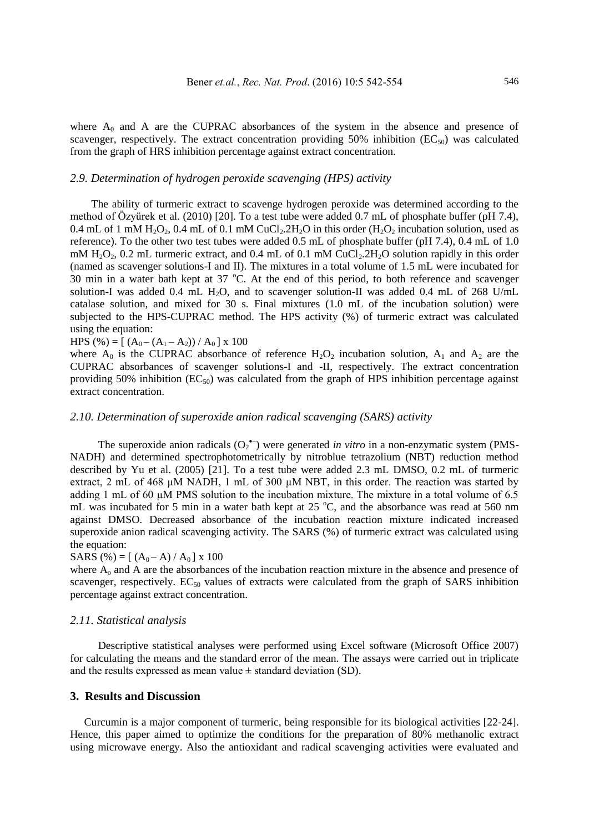where  $A_0$  and A are the CUPRAC absorbances of the system in the absence and presence of scavenger, respectively. The extract concentration providing 50% inhibition  $(EC_{50})$  was calculated from the graph of HRS inhibition percentage against extract concentration.

## *2.9. Determination of hydrogen peroxide scavenging (HPS) activity*

The ability of turmeric extract to scavenge hydrogen peroxide was determined according to the method of Özyürek et al. (2010) [20]. To a test tube were added 0.7 mL of phosphate buffer (pH 7.4), 0.4 mL of 1 mM  $H_2O_2$ , 0.4 mL of 0.1 mM CuCl<sub>2</sub>.2H<sub>2</sub>O in this order (H<sub>2</sub>O<sub>2</sub> incubation solution, used as reference). To the other two test tubes were added 0.5 mL of phosphate buffer (pH 7.4), 0.4 mL of 1.0 mM  $H_2O_2$ , 0.2 mL turmeric extract, and 0.4 mL of 0.1 mM CuCl<sub>2</sub>.2H<sub>2</sub>O solution rapidly in this order (named as scavenger solutions-I and II). The mixtures in a total volume of 1.5 mL were incubated for 30 min in a water bath kept at  $37^{\circ}$ C. At the end of this period, to both reference and scavenger solution-I was added 0.4 mL H<sub>2</sub>O, and to scavenger solution-II was added 0.4 mL of 268 U/mL catalase solution, and mixed for 30 s. Final mixtures (1.0 mL of the incubation solution) were subjected to the HPS-CUPRAC method. The HPS activity (%) of turmeric extract was calculated using the equation:

HPS (%) =  $[(A_0-(A_1-A_2))/A_0] \times 100$ 

where  $A_0$  is the CUPRAC absorbance of reference  $H_2O_2$  incubation solution,  $A_1$  and  $A_2$  are the CUPRAC absorbances of scavenger solutions-I and -II, respectively. The extract concentration providing 50% inhibition  $(EC_{50})$  was calculated from the graph of HPS inhibition percentage against extract concentration.

# *2.10. Determination of superoxide anion radical scavenging (SARS) activity*

The superoxide anion radicals  $(O_2^{\bullet-})$  were generated *in vitro* in a non-enzymatic system (PMS-NADH) and determined spectrophotometrically by nitroblue tetrazolium (NBT) reduction method described by Yu et al. (2005) [21]. To a test tube were added 2.3 mL DMSO, 0.2 mL of turmeric extract, 2 mL of 468  $\mu$ M NADH, 1 mL of 300  $\mu$ M NBT, in this order. The reaction was started by adding 1 mL of 60 µM PMS solution to the incubation mixture. The mixture in a total volume of 6.5 mL was incubated for 5 min in a water bath kept at  $25^{\circ}$ C, and the absorbance was read at 560 nm against DMSO. Decreased absorbance of the incubation reaction mixture indicated increased superoxide anion radical scavenging activity. The SARS (%) of turmeric extract was calculated using the equation:

#### SARS (%) =  $[(A_0 - A) / A_0]$  x 100

where  $A_0$  and A are the absorbances of the incubation reaction mixture in the absence and presence of scavenger, respectively.  $EC_{50}$  values of extracts were calculated from the graph of SARS inhibition percentage against extract concentration.

## *2.11. Statistical analysis*

Descriptive statistical analyses were performed using Excel software (Microsoft Office 2007) for calculating the means and the standard error of the mean. The assays were carried out in triplicate and the results expressed as mean value  $\pm$  standard deviation (SD).

## **3. Results and Discussion**

Curcumin is a major component of turmeric, being responsible for its biological activities [22-24]. Hence, this paper aimed to optimize the conditions for the preparation of 80% methanolic extract using microwave energy. Also the antioxidant and radical scavenging activities were evaluated and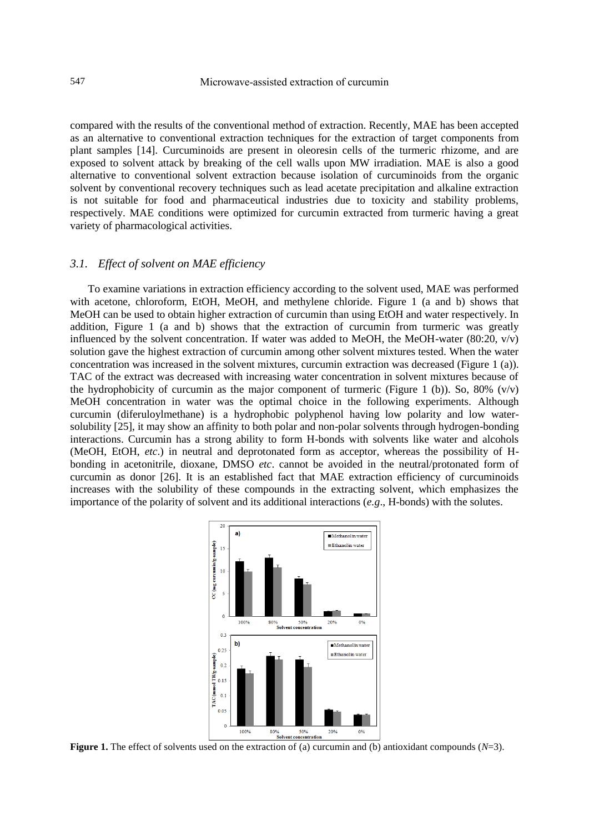compared with the results of the conventional method of extraction. Recently, MAE has been accepted as an alternative to conventional extraction techniques for the extraction of target components from plant samples [14]. Curcuminoids are present in oleoresin cells of the turmeric rhizome, and are exposed to solvent attack by breaking of the cell walls upon MW irradiation. MAE is also a good alternative to conventional solvent extraction because isolation of curcuminoids from the organic solvent by conventional recovery techniques such as lead acetate precipitation and alkaline extraction is not suitable for food and pharmaceutical industries due to toxicity and stability problems, respectively. MAE conditions were optimized for curcumin extracted from turmeric having a great variety of pharmacological activities.

#### *3.1. Effect of solvent on MAE efficiency*

To examine variations in extraction efficiency according to the solvent used, MAE was performed with acetone, chloroform, EtOH, MeOH, and methylene chloride. Figure 1 (a and b) shows that MeOH can be used to obtain higher extraction of curcumin than using EtOH and water respectively. In addition, Figure 1 (a and b) shows that the extraction of curcumin from turmeric was greatly influenced by the solvent concentration. If water was added to MeOH, the MeOH-water (80:20, v/v) solution gave the highest extraction of curcumin among other solvent mixtures tested. When the water concentration was increased in the solvent mixtures, curcumin extraction was decreased (Figure 1 (a)). TAC of the extract was decreased with increasing water concentration in solvent mixtures because of the hydrophobicity of curcumin as the major component of turmeric (Figure 1 (b)). So, 80% (v/v) MeOH concentration in water was the optimal choice in the following experiments. Although curcumin (diferuloylmethane) is a hydrophobic polyphenol having low polarity and low watersolubility [25], it may show an affinity to both polar and non-polar solvents through hydrogen-bonding interactions. Curcumin has a strong ability to form H-bonds with solvents like water and alcohols (MeOH, EtOH, *etc*.) in neutral and deprotonated form as acceptor, whereas the possibility of Hbonding in acetonitrile, dioxane, DMSO *etc*. cannot be avoided in the neutral/protonated form of curcumin as donor [26]. It is an established fact that MAE extraction efficiency of curcuminoids increases with the solubility of these compounds in the extracting solvent, which emphasizes the importance of the polarity of solvent and its additional interactions (*e.g*., H-bonds) with the solutes.



**Figure 1.** The effect of solvents used on the extraction of (a) curcumin and (b) antioxidant compounds (*N*=3).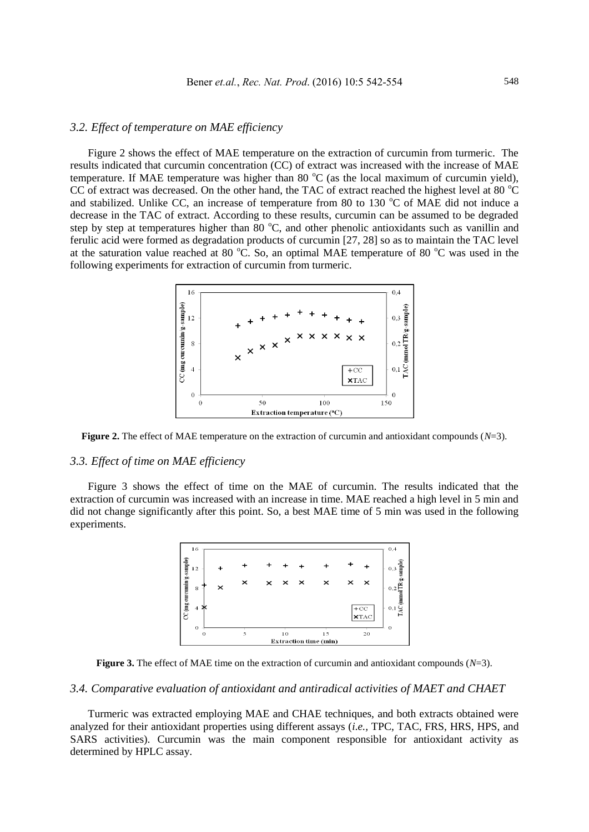# *3.2. Effect of temperature on MAE efficiency*

Figure 2 shows the effect of MAE temperature on the extraction of curcumin from turmeric. The results indicated that curcumin concentration (CC) of extract was increased with the increase of MAE temperature. If MAE temperature was higher than 80  $^{\circ}C$  (as the local maximum of curcumin yield), CC of extract was decreased. On the other hand, the TAC of extract reached the highest level at 80  $^{\circ}$ C and stabilized. Unlike CC, an increase of temperature from 80 to 130  $\degree$ C of MAE did not induce a decrease in the TAC of extract. According to these results, curcumin can be assumed to be degraded step by step at temperatures higher than 80 °C, and other phenolic antioxidants such as vanillin and ferulic acid were formed as degradation products of curcumin [27, 28] so as to maintain the TAC level at the saturation value reached at 80  $^{\circ}$ C. So, an optimal MAE temperature of 80  $^{\circ}$ C was used in the following experiments for extraction of curcumin from turmeric.



**Figure 2.** The effect of MAE temperature on the extraction of curcumin and antioxidant compounds (*N*=3).

## *3.3. Effect of time on MAE efficiency*

Figure 3 shows the effect of time on the MAE of curcumin. The results indicated that the extraction of curcumin was increased with an increase in time. MAE reached a high level in 5 min and did not change significantly after this point. So, a best MAE time of 5 min was used in the following experiments.



**Figure 3.** The effect of MAE time on the extraction of curcumin and antioxidant compounds (*N*=3).

# *3.4. Comparative evaluation of antioxidant and antiradical activities of MAET and CHAET*

Turmeric was extracted employing MAE and CHAE techniques, and both extracts obtained were analyzed for their antioxidant properties using different assays (*i.e.,* TPC, TAC, FRS, HRS, HPS, and SARS activities). Curcumin was the main component responsible for antioxidant activity as determined by HPLC assay.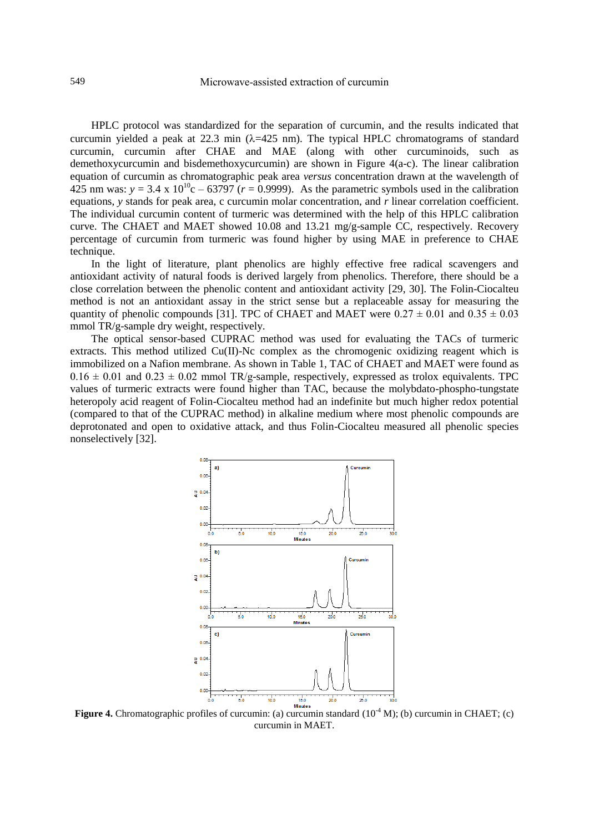HPLC protocol was standardized for the separation of curcumin, and the results indicated that curcumin yielded a peak at 22.3 min  $(\lambda=425 \text{ nm})$ . The typical HPLC chromatograms of standard curcumin, curcumin after CHAE and MAE (along with other curcuminoids, such as demethoxycurcumin and bisdemethoxycurcumin) are shown in Figure 4(a-c). The linear calibration equation of curcumin as chromatographic peak area *versus* concentration drawn at the wavelength of 425 nm was:  $y = 3.4 \times 10^{10}$ c – 63797 ( $r = 0.9999$ ). As the parametric symbols used in the calibration equations, *y* stands for peak area, c curcumin molar concentration, and *r* linear correlation coefficient. The individual curcumin content of turmeric was determined with the help of this HPLC calibration curve. The CHAET and MAET showed 10.08 and 13.21 mg/g-sample CC, respectively. Recovery percentage of curcumin from turmeric was found higher by using MAE in preference to CHAE technique.

In the light of literature, plant phenolics are highly effective free radical scavengers and antioxidant activity of natural foods is derived largely from phenolics. Therefore, there should be a close correlation between the phenolic content and antioxidant activity [29, 30]. The Folin-Ciocalteu method is not an antioxidant assay in the strict sense but a replaceable assay for measuring the quantity of phenolic compounds [31]. TPC of CHAET and MAET were  $0.27 \pm 0.01$  and  $0.35 \pm 0.03$ mmol TR/g-sample dry weight, respectively.

The optical sensor-based CUPRAC method was used for evaluating the TACs of turmeric extracts. This method utilized Cu(II)-Nc complex as the chromogenic oxidizing reagent which is immobilized on a Nafion membrane. As shown in Table 1, TAC of CHAET and MAET were found as  $0.16 \pm 0.01$  and  $0.23 \pm 0.02$  mmol TR/g-sample, respectively, expressed as trolox equivalents. TPC values of turmeric extracts were found higher than TAC, because the molybdato-phospho-tungstate heteropoly acid reagent of Folin-Ciocalteu method had an indefinite but much higher redox potential (compared to that of the CUPRAC method) in alkaline medium where most phenolic compounds are deprotonated and open to oxidative attack, and thus Folin-Ciocalteu measured all phenolic species nonselectively [32].



**Figure 4.** Chromatographic profiles of curcumin: (a) curcumin standard (10<sup>-4</sup> M); (b) curcumin in CHAET; (c) curcumin in MAET.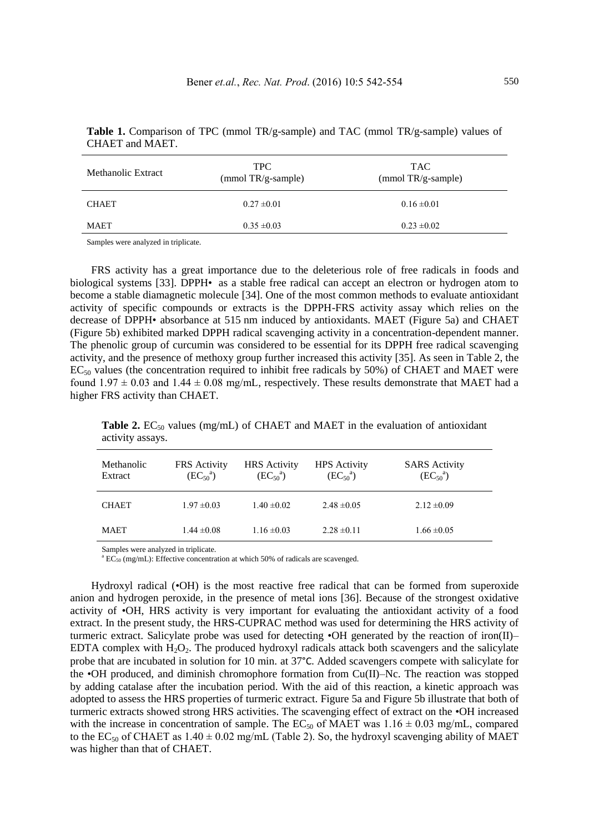| Methanolic Extract | <b>TPC</b><br>$(mmol TR/g-sample)$ | <b>TAC</b><br>$(mmol TR/g-sample)$ |  |
|--------------------|------------------------------------|------------------------------------|--|
| <b>CHAET</b>       | $0.27 \pm 0.01$                    | $0.16 \pm 0.01$                    |  |
| MAET               | $0.35 \pm 0.03$                    | $0.23 \pm 0.02$                    |  |

| <b>Table 1.</b> Comparison of TPC (mmol TR/g-sample) and TAC (mmol TR/g-sample) values of |  |  |  |  |
|-------------------------------------------------------------------------------------------|--|--|--|--|
| CHAET and MAET.                                                                           |  |  |  |  |

Samples were analyzed in triplicate.

FRS activity has a great importance due to the deleterious role of free radicals in foods and biological systems [33]. DPPH• as a stable free radical can accept an electron or hydrogen atom to become a stable diamagnetic molecule [34]. One of the most common methods to evaluate antioxidant activity of specific compounds or extracts is the DPPH-FRS activity assay which relies on the decrease of DPPH• absorbance at 515 nm induced by antioxidants. MAET (Figure 5a) and CHAET (Figure 5b) exhibited marked DPPH radical scavenging activity in a concentration-dependent manner. The phenolic group of curcumin was considered to be essential for its DPPH free radical scavenging activity, and the presence of methoxy group further increased this activity [35]. As seen in Table 2, the  $EC_{50}$  values (the concentration required to inhibit free radicals by 50%) of CHAET and MAET were found  $1.97 \pm 0.03$  and  $1.44 \pm 0.08$  mg/mL, respectively. These results demonstrate that MAET had a higher FRS activity than CHAET.

**Table 2.** EC<sub>50</sub> values (mg/mL) of CHAET and MAET in the evaluation of antioxidant activity assays.

| Methanolic<br>Extract | FRS Activity<br>$(EC_{50}^{a})$ | <b>HRS</b> Activity<br>$(EC_{50}^{a})$ | <b>HPS</b> Activity<br>$(EC_{50}^{a})$ | <b>SARS</b> Activity<br>$(EC_{50}^{a})$ |
|-----------------------|---------------------------------|----------------------------------------|----------------------------------------|-----------------------------------------|
| <b>CHAET</b>          | $1.97 \pm 0.03$                 | $1.40 \pm 0.02$                        | $2.48 \pm 0.05$                        | $2.12 \pm 0.09$                         |
| <b>MAET</b>           | $1.44 \pm 0.08$                 | $1.16 \pm 0.03$                        | $2.28 \pm 0.11$                        | $1.66 \pm 0.05$                         |

Samples were analyzed in triplicate.

 $^{\circ}$  EC<sub>50</sub> (mg/mL): Effective concentration at which 50% of radicals are scavenged.

Hydroxyl radical (•OH) is the most reactive free radical that can be formed from superoxide anion and hydrogen peroxide, in the presence of metal ions [36]. Because of the strongest oxidative activity of •OH, HRS activity is very important for evaluating the antioxidant activity of a food extract. In the present study, the HRS-CUPRAC method was used for determining the HRS activity of turmeric extract. Salicylate probe was used for detecting •OH generated by the reaction of iron(II)– EDTA complex with  $H_2O_2$ . The produced hydroxyl radicals attack both scavengers and the salicylate probe that are incubated in solution for 10 min. at 37°C. Added scavengers compete with salicylate for the •OH produced, and diminish chromophore formation from  $Cu(II)$ –Nc. The reaction was stopped by adding catalase after the incubation period. With the aid of this reaction, a kinetic approach was adopted to assess the HRS properties of turmeric extract. Figure 5a and Figure 5b illustrate that both of turmeric extracts showed strong HRS activities. The scavenging effect of extract on the •OH increased with the increase in concentration of sample. The EC<sub>50</sub> of MAET was  $1.16 \pm 0.03$  mg/mL, compared to the EC<sub>50</sub> of CHAET as  $1.40 \pm 0.02$  mg/mL (Table 2). So, the hydroxyl scavenging ability of MAET was higher than that of CHAET.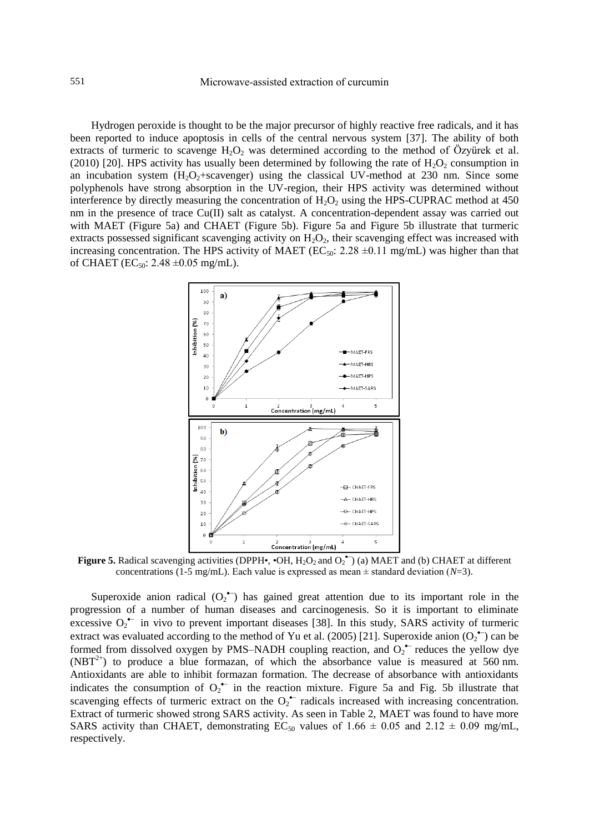Hydrogen peroxide is thought to be the major precursor of highly reactive free radicals, and it has been reported to induce apoptosis in cells of the central nervous system [37]. The ability of both extracts of turmeric to scavenge  $H_2O_2$  was determined according to the method of Özyürek et al. (2010) [20]. HPS activity has usually been determined by following the rate of  $H_2O_2$  consumption in an incubation system  $(H_2O_2 + \text{scavenger})$  using the classical UV-method at 230 nm. Since some polyphenols have strong absorption in the UV-region, their HPS activity was determined without interference by directly measuring the concentration of  $H_2O_2$  using the HPS-CUPRAC method at 450 nm in the presence of trace Cu(II) salt as catalyst. A concentration-dependent assay was carried out with MAET (Figure 5a) and CHAET (Figure 5b). Figure 5a and Figure 5b illustrate that turmeric extracts possessed significant scavenging activity on  $H_2O_2$ , their scavenging effect was increased with increasing concentration. The HPS activity of MAET (EC<sub>50</sub>: 2.28  $\pm$ 0.11 mg/mL) was higher than that of CHAET (EC<sub>50</sub>: 2.48  $\pm$ 0.05 mg/mL).



**Figure 5.** Radical scavenging activities (DPPH $\cdot$ ,  $\cdot$ OH,  $H_2O_2$  and  $O_2^{\bullet -}$ ) (a) MAET and (b) CHAET at different concentrations (1-5 mg/mL). Each value is expressed as mean  $\pm$  standard deviation (*N*=3).

Superoxide anion radical  $(O_2^{\bullet-})$  has gained great attention due to its important role in the progression of a number of human diseases and carcinogenesis. So it is important to eliminate excessive  $O_2$ <sup>--</sup> in vivo to prevent important diseases [38]. In this study, SARS activity of turmeric extract was evaluated according to the method of Yu et al. (2005) [21]. Superoxide anion  $(O_2^{\bullet-})$  can be formed from dissolved oxygen by PMS-NADH coupling reaction, and  $O_2^{\bullet-}$  reduces the yellow dye  $(NBT^{2+})$  to produce a blue formazan, of which the absorbance value is measured at 560 nm. Antioxidants are able to inhibit formazan formation. The decrease of absorbance with antioxidants indicates the consumption of  $O_2^{\bullet-}$  in the reaction mixture. Figure 5a and Fig. 5b illustrate that scavenging effects of turmeric extract on the  $O_2^{\bullet-}$  radicals increased with increasing concentration. Extract of turmeric showed strong SARS activity. As seen in Table 2, MAET was found to have more SARS activity than CHAET, demonstrating  $EC_{50}$  values of 1.66  $\pm$  0.05 and 2.12  $\pm$  0.09 mg/mL, respectively.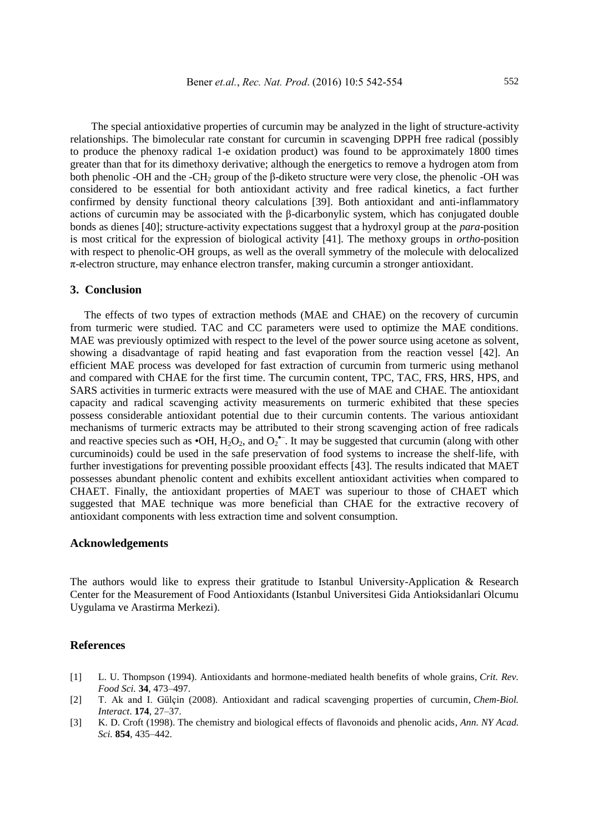The special antioxidative properties of curcumin may be analyzed in the light of structure-activity relationships. The bimolecular rate constant for curcumin in scavenging DPPH free radical (possibly to produce the phenoxy radical 1-e oxidation product) was found to be approximately 1800 times greater than that for its dimethoxy derivative; although the energetics to remove a hydrogen atom from both phenolic -OH and the -CH<sub>2</sub> group of the β-diketo structure were very close, the phenolic -OH was considered to be essential for both antioxidant activity and free radical kinetics, a fact further confirmed by density functional theory calculations [39]. Both antioxidant and anti-inflammatory actions of curcumin may be associated with the β-dicarbonylic system, which has conjugated double bonds as dienes [40]; structure-activity expectations suggest that a hydroxyl group at the *para*-position is most critical for the expression of biological activity [41]. The methoxy groups in *ortho*-position with respect to phenolic-OH groups, as well as the overall symmetry of the molecule with delocalized π-electron structure, may enhance electron transfer, making curcumin a stronger antioxidant.

## **3. Conclusion**

The effects of two types of extraction methods (MAE and CHAE) on the recovery of curcumin from turmeric were studied. TAC and CC parameters were used to optimize the MAE conditions. MAE was previously optimized with respect to the level of the power source using acetone as solvent, showing a disadvantage of rapid heating and fast evaporation from the reaction vessel [42]. An efficient MAE process was developed for fast extraction of curcumin from turmeric using methanol and compared with CHAE for the first time. The curcumin content, TPC, TAC, FRS, HRS, HPS, and SARS activities in turmeric extracts were measured with the use of MAE and CHAE. The antioxidant capacity and radical scavenging activity measurements on turmeric exhibited that these species possess considerable antioxidant potential due to their curcumin contents. The various antioxidant mechanisms of turmeric extracts may be attributed to their strong scavenging action of free radicals and reactive species such as  $\cdot$ OH, H<sub>2</sub>O<sub>2</sub>, and O<sub>2</sub><sup> $\cdot$ </sup>. It may be suggested that curcumin (along with other curcuminoids) could be used in the safe preservation of food systems to increase the shelf-life, with further investigations for preventing possible prooxidant effects [43]. The results indicated that MAET possesses abundant phenolic content and exhibits excellent antioxidant activities when compared to CHAET. Finally, the antioxidant properties of MAET was superiour to those of CHAET which suggested that MAE technique was more beneficial than CHAE for the extractive recovery of antioxidant components with less extraction time and solvent consumption.

## **Acknowledgements**

The authors would like to express their gratitude to Istanbul University-Application & Research Center for the Measurement of Food Antioxidants (Istanbul Universitesi Gida Antioksidanlari Olcumu Uygulama ve Arastirma Merkezi).

## **References**

- [1] L. U. Thompson (1994). Antioxidants and hormone-mediated health benefits of whole grains, *Crit. Rev. Food Sci.* **34**, 473–497.
- [2] T. Ak and I. Gülçin (2008). Antioxidant and radical scavenging properties of curcumin, *Chem-Biol. Interact*. **174**, 27–37.
- [3] K. D. Croft (1998). The chemistry and biological effects of flavonoids and phenolic acids, *Ann. NY Acad. Sci.* **854**, 435–442.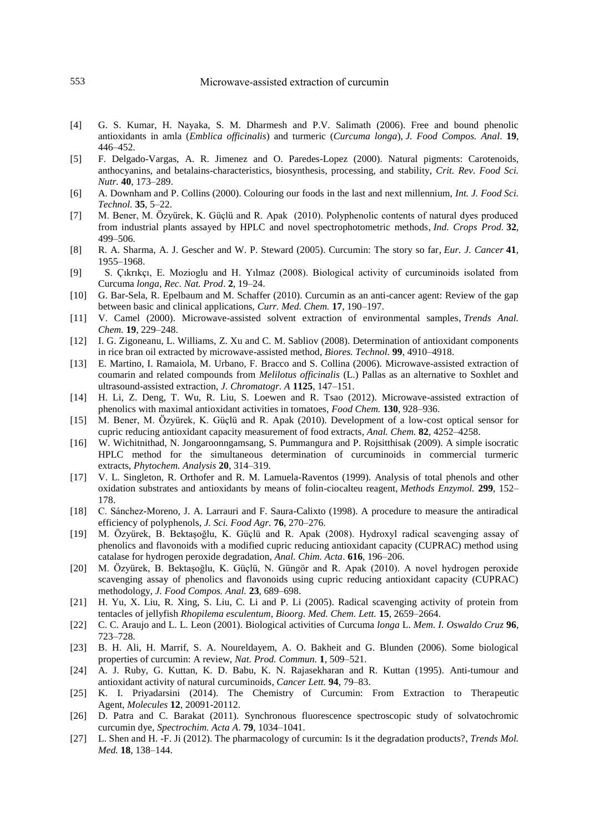- [4] G. S. Kumar, H. Nayaka, S. M. Dharmesh and P.V. Salimath (2006). Free and bound phenolic antioxidants in amla (*Emblica officinalis*) and turmeric (*Curcuma longa*), *J. Food Compos. Anal*. **19**, 446–452.
- [5] F. Delgado-Vargas, A. R. Jimenez and O. Paredes-Lopez (2000). Natural pigments: Carotenoids, anthocyanins, and betalains-characteristics, biosynthesis, processing, and stability, *Crit. Rev. Food Sci. Nutr.* **40**, 173–289.
- [6] A. Downham and P. Collins (2000). Colouring our foods in the last and next millennium, *Int. J. Food Sci. Technol.* **35**, 5–22.
- [7] M. Bener, M. Özyürek, K. Güçlü and R. Apak (2010). Polyphenolic contents of natural dyes produced from industrial plants assayed by HPLC and novel spectrophotometric methods, *Ind. Crops Prod.* **32**, 499–506.
- [8] R. A. Sharma, A. J. Gescher and W. P. Steward (2005). Curcumin: The story so far, *Eur. J. Cancer* **41**, 1955–1968.
- [9] S. Çıkrıkçı, E. Mozioglu and H. Yılmaz (2008). Biological activity of curcuminoids isolated from Curcuma *longa*, *Rec. Nat. Prod*. **2**, 19–24.
- [10] G. Bar-Sela, R. Epelbaum and M. Schaffer (2010). Curcumin as an anti-cancer agent: Review of the gap between basic and clinical applications, *Curr. Med. Chem.* **17**, 190–197.
- [11] V. Camel (2000). Microwave-assisted solvent extraction of environmental samples, *Trends Anal. Chem.* **19**, 229–248.
- [12] I. G. Zigoneanu, L. Williams, Z. Xu and C. M. Sabliov (2008). Determination of antioxidant components in rice bran oil extracted by microwave-assisted method, *Biores. Technol.* **99**, 4910–4918.
- [13] E. Martino, I. Ramaiola, M. Urbano, F. Bracco and S. Collina (2006). Microwave-assisted extraction of coumarin and related compounds from *Melilotus officinalis* (L.) Pallas as an alternative to Soxhlet and ultrasound-assisted extraction, *J. Chromatogr. A* **1125**, 147–151.
- [14] H. Li, Z. Deng, T. Wu, R. Liu, S. Loewen and R. Tsao (2012). Microwave-assisted extraction of phenolics with maximal antioxidant activities in tomatoes, *Food Chem.* **130**, 928–936.
- [15] M. Bener, M. Özyürek, K. Güçlü and R. Apak (2010). Development of a low-cost optical sensor for cupric reducing antioxidant capacity measurement of food extracts, *Anal. Chem.* **82**, 4252–4258.
- [16] W. Wichitnithad, N. Jongaroonngamsang, S. Pummangura and P. Rojsitthisak (2009). A simple isocratic HPLC method for the simultaneous determination of curcuminoids in commercial turmeric extracts, *Phytochem. Analysis* **20**, 314–319.
- [17] V. L. Singleton, R. Orthofer and R. M. Lamuela-Raventos (1999). Analysis of total phenols and other oxidation substrates and antioxidants by means of folin-ciocalteu reagent, *Methods Enzymol.* **299**, 152– 178.
- [18] C. Sánchez-Moreno, J. A. Larrauri and F. Saura-Calixto (1998). A procedure to measure the antiradical efficiency of polyphenols, *J. Sci. Food Agr.* **76**, 270–276.
- [19] M. Özyürek, B. Bektaşoğlu, K. Güçlü and R. Apak (2008). Hydroxyl radical scavenging assay of phenolics and flavonoids with a modified cupric reducing antioxidant capacity (CUPRAC) method using catalase for hydrogen peroxide degradation, *Anal. Chim. Acta*. **616**, 196–206.
- [20] M. Özyürek, B. Bektaşoğlu, K. Güçlü, N. Güngör and R. Apak (2010). A novel hydrogen peroxide scavenging assay of phenolics and flavonoids using cupric reducing antioxidant capacity (CUPRAC) methodology, *J. Food Compos. Anal.* **23**, 689–698.
- [21] H. Yu, X. Liu, R. Xing, S. Liu, C. Li and P. Li (2005). Radical scavenging activity of protein from tentacles of jellyfish *Rhopilema esculentum*, *Bioorg. Med. Chem. Lett.* **15**, 2659–2664.
- [22] C. C. Araujo and L. L. Leon (2001). Biological activities of Curcuma *longa* L. *Mem. I. Oswaldo Cruz* **96**, 723–728.
- [23] B. H. Ali, H. Marrif, S. A. Noureldayem, A. O. Bakheit and G. Blunden (2006). Some biological properties of curcumin: A review, *Nat. Prod. Commun.* **1**, 509–521.
- [24] A. J. Ruby, G. Kuttan, K. D. Babu, K. N. Rajasekharan and R. Kuttan (1995). Anti-tumour and antioxidant activity of natural curcuminoids, *Cancer Lett.* **94**, 79–83.
- [25] K. I. Priyadarsini (2014). The Chemistry of Curcumin: From Extraction to Therapeutic Agent, *Molecules* **12**, 20091-20112.
- [26] D. Patra and C. Barakat (2011). Synchronous fluorescence spectroscopic study of solvatochromic curcumin dye, *Spectrochim. Acta A*. **79**, 1034–1041.
- [27] L. Shen and H. -F. Ji (2012). The pharmacology of curcumin: Is it the degradation products?, *Trends Mol. Med.* **18**, 138–144.